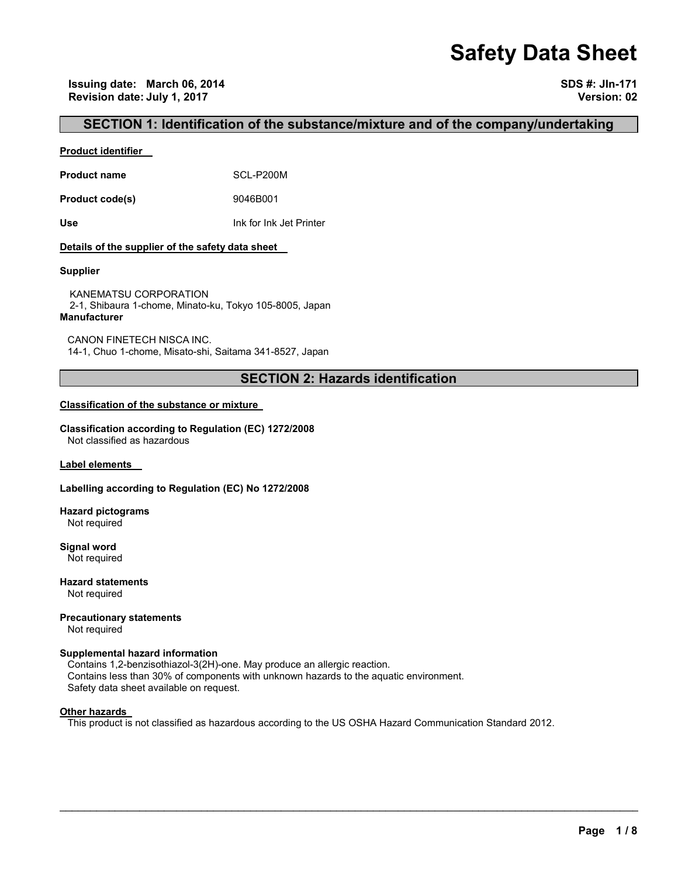# **Safety Data Sheet**

## **SECTION 1: Identification of the substance/mixture and of the company/undertaking**

#### **Product identifier**

**Product name** SCL-P200M

**Product code(s)** 9046B001

**Use** Ink for Ink Jet Printer

#### **Details of the supplier of the safety data sheet**

#### **Supplier**

KANEMATSU CORPORATION 2-1, Shibaura 1-chome, Minato-ku, Tokyo 105-8005, Japan **Manufacturer**

CANON FINETECH NISCA INC. 14-1, Chuo 1-chome, Misato-shi, Saitama 341-8527, Japan

## **SECTION 2: Hazards identification**

#### **Classification of the substance or mixture**

**Classification according to Regulation (EC) 1272/2008** Not classified as hazardous

**Label elements** 

#### **Labelling according to Regulation (EC) No 1272/2008**

**Hazard pictograms** Not required

**Signal word** Not required

**Hazard statements** Not required

**Precautionary statements** 

Not required

#### **Supplemental hazard information**

Contains 1,2-benzisothiazol-3(2H)-one. May produce an allergic reaction. Contains less than 30% of components with unknown hazards to the aquatic environment. Safety data sheet available on request.

#### **Other hazards**

This product is not classified as hazardous according to the US OSHA Hazard Communication Standard 2012.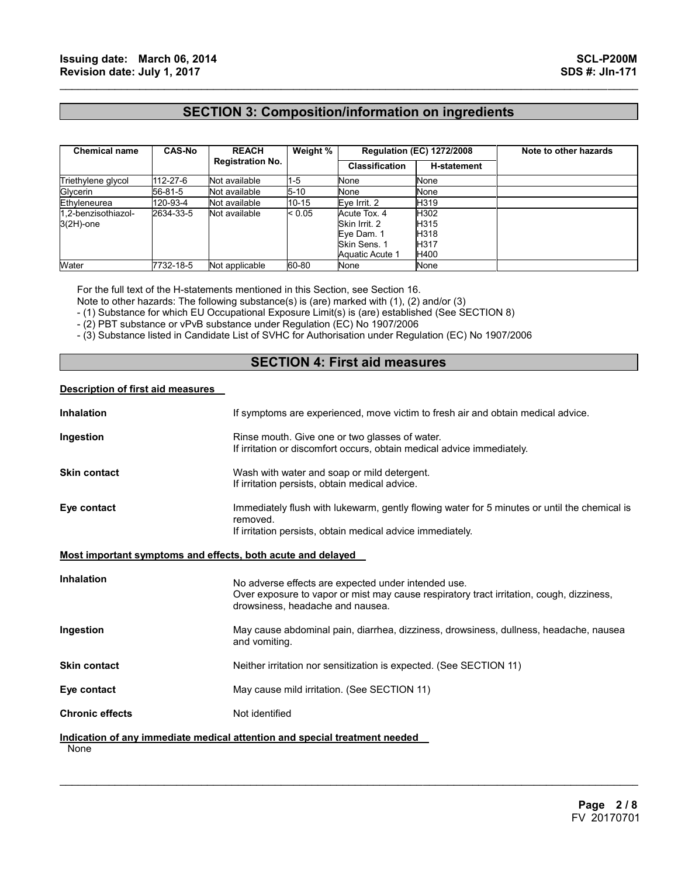## **SECTION 3: Composition/information on ingredients**

 $\mathcal{L}_\mathcal{L} = \{ \mathcal{L}_\mathcal{L} = \{ \mathcal{L}_\mathcal{L} = \{ \mathcal{L}_\mathcal{L} = \{ \mathcal{L}_\mathcal{L} = \{ \mathcal{L}_\mathcal{L} = \{ \mathcal{L}_\mathcal{L} = \{ \mathcal{L}_\mathcal{L} = \{ \mathcal{L}_\mathcal{L} = \{ \mathcal{L}_\mathcal{L} = \{ \mathcal{L}_\mathcal{L} = \{ \mathcal{L}_\mathcal{L} = \{ \mathcal{L}_\mathcal{L} = \{ \mathcal{L}_\mathcal{L} = \{ \mathcal{L}_\mathcal{$ 

| <b>Chemical name</b> | <b>CAS-No</b> | <b>REACH</b><br><b>Registration No.</b> | Weight % | <b>Regulation (EC) 1272/2008</b> |                    | Note to other hazards |
|----------------------|---------------|-----------------------------------------|----------|----------------------------------|--------------------|-----------------------|
|                      |               |                                         |          | <b>Classification</b>            | <b>H-statement</b> |                       |
| Triethylene glycol   | 112-27-6      | Not available                           | $1-5$    | None                             | None               |                       |
| Glycerin             | 56-81-5       | Not available                           | $5 - 10$ | None                             | None               |                       |
| Ethyleneurea         | 120-93-4      | Not available                           | 10-15    | Eve Irrit. 2                     | H319               |                       |
| 1.2-benzisothiazol-  | 2634-33-5     | Not available                           | < 0.05   | Acute Tox. 4                     | H302               |                       |
| $3(2H)$ -one         |               |                                         |          | Skin Irrit, 2                    | H315               |                       |
|                      |               |                                         |          | Eve Dam. 1                       | H318               |                       |
|                      |               |                                         |          | Skin Sens, 1                     | H <sub>317</sub>   |                       |
|                      |               |                                         |          | Aquatic Acute 1                  | H400               |                       |
| Water                | 7732-18-5     | Not applicable                          | 60-80    | None                             | None               |                       |

For the full text of the H-statements mentioned in this Section, see Section 16.

Note to other hazards: The following substance(s) is (are) marked with (1), (2) and/or (3)

- (1) Substance for which EU Occupational Exposure Limit(s) is (are) established (See SECTION 8)

- (2) PBT substance or vPvB substance under Regulation (EC) No 1907/2006

- (3) Substance listed in Candidate List of SVHC for Authorisation under Regulation (EC) No 1907/2006

## **SECTION 4: First aid measures**

#### **Description of first aid measures**

| <b>Inhalation</b>                                           | If symptoms are experienced, move victim to fresh air and obtain medical advice.                                                                                                    |  |  |
|-------------------------------------------------------------|-------------------------------------------------------------------------------------------------------------------------------------------------------------------------------------|--|--|
| Ingestion                                                   | Rinse mouth. Give one or two glasses of water.<br>If irritation or discomfort occurs, obtain medical advice immediately.                                                            |  |  |
| <b>Skin contact</b>                                         | Wash with water and soap or mild detergent.<br>If irritation persists, obtain medical advice.                                                                                       |  |  |
| Eye contact                                                 | Immediately flush with lukewarm, gently flowing water for 5 minutes or until the chemical is<br>removed.<br>If irritation persists, obtain medical advice immediately.              |  |  |
| Most important symptoms and effects, both acute and delayed |                                                                                                                                                                                     |  |  |
| <b>Inhalation</b>                                           | No adverse effects are expected under intended use.<br>Over exposure to vapor or mist may cause respiratory tract irritation, cough, dizziness,<br>drowsiness, headache and nausea. |  |  |
| Ingestion                                                   | May cause abdominal pain, diarrhea, dizziness, drowsiness, dullness, headache, nausea<br>and vomiting.                                                                              |  |  |
| <b>Skin contact</b>                                         | Neither irritation nor sensitization is expected. (See SECTION 11)                                                                                                                  |  |  |
| Eye contact                                                 | May cause mild irritation. (See SECTION 11)                                                                                                                                         |  |  |
| <b>Chronic effects</b>                                      | Not identified                                                                                                                                                                      |  |  |
| None                                                        | Indication of any immediate medical attention and special treatment needed                                                                                                          |  |  |

 $\mathcal{L}_\mathcal{L} = \mathcal{L}_\mathcal{L} = \mathcal{L}_\mathcal{L} = \mathcal{L}_\mathcal{L} = \mathcal{L}_\mathcal{L} = \mathcal{L}_\mathcal{L} = \mathcal{L}_\mathcal{L} = \mathcal{L}_\mathcal{L} = \mathcal{L}_\mathcal{L} = \mathcal{L}_\mathcal{L} = \mathcal{L}_\mathcal{L} = \mathcal{L}_\mathcal{L} = \mathcal{L}_\mathcal{L} = \mathcal{L}_\mathcal{L} = \mathcal{L}_\mathcal{L} = \mathcal{L}_\mathcal{L} = \mathcal{L}_\mathcal{L}$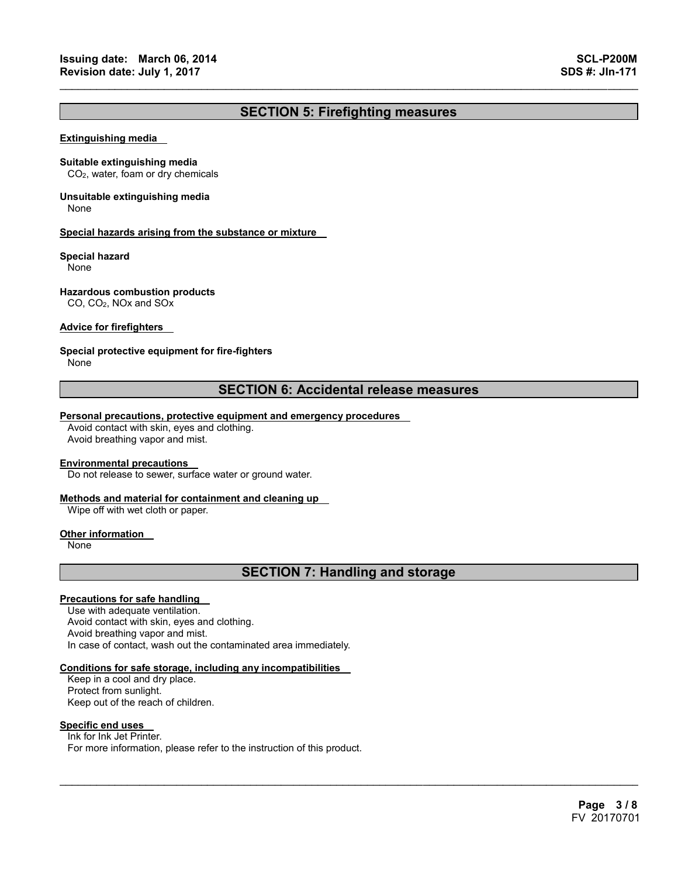## **SECTION 5: Firefighting measures**

 $\mathcal{L}_\mathcal{L} = \{ \mathcal{L}_\mathcal{L} = \{ \mathcal{L}_\mathcal{L} = \{ \mathcal{L}_\mathcal{L} = \{ \mathcal{L}_\mathcal{L} = \{ \mathcal{L}_\mathcal{L} = \{ \mathcal{L}_\mathcal{L} = \{ \mathcal{L}_\mathcal{L} = \{ \mathcal{L}_\mathcal{L} = \{ \mathcal{L}_\mathcal{L} = \{ \mathcal{L}_\mathcal{L} = \{ \mathcal{L}_\mathcal{L} = \{ \mathcal{L}_\mathcal{L} = \{ \mathcal{L}_\mathcal{L} = \{ \mathcal{L}_\mathcal{$ 

#### **Extinguishing media**

#### **Suitable extinguishing media**

CO2, water, foam or dry chemicals

## **Unsuitable extinguishing media**

None

#### **Special hazards arising from the substance or mixture**

#### **Special hazard**

None

#### **Hazardous combustion products**

CO, CO2, NOx and SOx

#### **Advice for firefighters**

#### **Special protective equipment for fire-fighters**

None

## **SECTION 6: Accidental release measures**

#### **Personal precautions, protective equipment and emergency procedures**

Avoid contact with skin, eyes and clothing. Avoid breathing vapor and mist.

#### **Environmental precautions**

Do not release to sewer, surface water or ground water.

#### **Methods and material for containment and cleaning up**

Wipe off with wet cloth or paper.

#### **Other information**

None

## **SECTION 7: Handling and storage**

 $\mathcal{L}_\mathcal{L} = \mathcal{L}_\mathcal{L} = \mathcal{L}_\mathcal{L} = \mathcal{L}_\mathcal{L} = \mathcal{L}_\mathcal{L} = \mathcal{L}_\mathcal{L} = \mathcal{L}_\mathcal{L} = \mathcal{L}_\mathcal{L} = \mathcal{L}_\mathcal{L} = \mathcal{L}_\mathcal{L} = \mathcal{L}_\mathcal{L} = \mathcal{L}_\mathcal{L} = \mathcal{L}_\mathcal{L} = \mathcal{L}_\mathcal{L} = \mathcal{L}_\mathcal{L} = \mathcal{L}_\mathcal{L} = \mathcal{L}_\mathcal{L}$ 

#### **Precautions for safe handling**

Use with adequate ventilation. Avoid contact with skin, eyes and clothing. Avoid breathing vapor and mist. In case of contact, wash out the contaminated area immediately.

#### **Conditions for safe storage, including any incompatibilities**

Keep in a cool and dry place. Protect from sunlight. Keep out of the reach of children.

#### **Specific end uses**

Ink for Ink Jet Printer. For more information, please refer to the instruction of this product.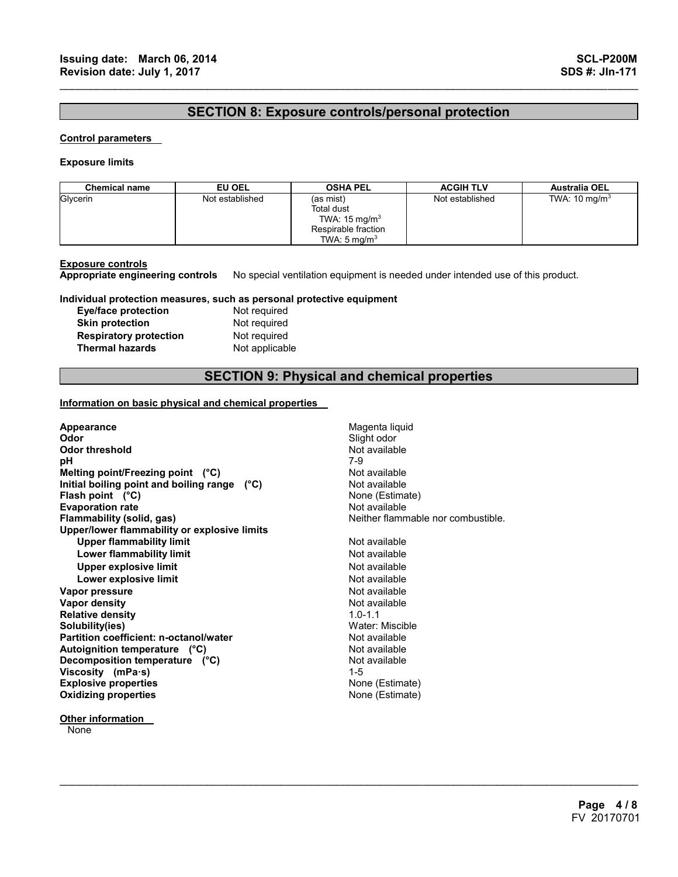## **SECTION 8: Exposure controls/personal protection**

 $\mathcal{L}_\mathcal{L} = \{ \mathcal{L}_\mathcal{L} = \{ \mathcal{L}_\mathcal{L} = \{ \mathcal{L}_\mathcal{L} = \{ \mathcal{L}_\mathcal{L} = \{ \mathcal{L}_\mathcal{L} = \{ \mathcal{L}_\mathcal{L} = \{ \mathcal{L}_\mathcal{L} = \{ \mathcal{L}_\mathcal{L} = \{ \mathcal{L}_\mathcal{L} = \{ \mathcal{L}_\mathcal{L} = \{ \mathcal{L}_\mathcal{L} = \{ \mathcal{L}_\mathcal{L} = \{ \mathcal{L}_\mathcal{L} = \{ \mathcal{L}_\mathcal{$ 

#### **Control parameters**

#### **Exposure limits**

| <b>Chemical name</b> | EU OEL          | <b>OSHA PEL</b>                                                                                       | <b>ACGIH TLV</b> | <b>Australia OEL</b>     |
|----------------------|-----------------|-------------------------------------------------------------------------------------------------------|------------------|--------------------------|
| Glycerin             | Not established | (as mist)<br>Total dust<br>TWA: $15 \text{ mg/m}^3$<br>Respirable fraction<br>TWA: $5 \text{ mg/m}^3$ | Not established  | TWA: $10 \text{ mg/m}^3$ |

**Exposure controls Appropriate engineering controls** No special ventilation equipment is needed under intended use of this product.

#### **Individual protection measures, such as personal protective equipment**

| Eye/face protection           |
|-------------------------------|
| <b>Skin protection</b>        |
| <b>Respiratory protection</b> |
| <b>Thermal hazards</b>        |

Not required **Not required Not required Not applicable** 

## **SECTION 9: Physical and chemical properties**

 $\mathcal{L}_\mathcal{L} = \mathcal{L}_\mathcal{L} = \mathcal{L}_\mathcal{L} = \mathcal{L}_\mathcal{L} = \mathcal{L}_\mathcal{L} = \mathcal{L}_\mathcal{L} = \mathcal{L}_\mathcal{L} = \mathcal{L}_\mathcal{L} = \mathcal{L}_\mathcal{L} = \mathcal{L}_\mathcal{L} = \mathcal{L}_\mathcal{L} = \mathcal{L}_\mathcal{L} = \mathcal{L}_\mathcal{L} = \mathcal{L}_\mathcal{L} = \mathcal{L}_\mathcal{L} = \mathcal{L}_\mathcal{L} = \mathcal{L}_\mathcal{L}$ 

#### **Information on basic physical and chemical properties**

| Appearance<br>Odor<br><b>Odor threshold</b><br>рH<br>Melting point/Freezing point (°C)<br>Initial boiling point and boiling range (°C) | Magenta liquid<br>Slight odor<br>Not available<br>7-9<br>Not available<br>Not available |
|----------------------------------------------------------------------------------------------------------------------------------------|-----------------------------------------------------------------------------------------|
| Flash point $(^{\circ}C)$                                                                                                              | None (Estimate)                                                                         |
| <b>Evaporation rate</b>                                                                                                                | Not available                                                                           |
| Flammability (solid, gas)                                                                                                              | Neither flammable nor combustible.                                                      |
| Upper/lower flammability or explosive limits                                                                                           | Not available                                                                           |
| <b>Upper flammability limit</b>                                                                                                        |                                                                                         |
| Lower flammability limit                                                                                                               | Not available                                                                           |
| <b>Upper explosive limit</b>                                                                                                           | Not available                                                                           |
| Lower explosive limit                                                                                                                  | Not available                                                                           |
| Vapor pressure                                                                                                                         | Not available                                                                           |
| Vapor density                                                                                                                          | Not available                                                                           |
| <b>Relative density</b>                                                                                                                | $1.0 - 1.1$                                                                             |
| Solubility(ies)                                                                                                                        | Water: Miscible                                                                         |
| Partition coefficient: n-octanol/water                                                                                                 | Not available                                                                           |
| Autoignition temperature (°C)                                                                                                          | Not available                                                                           |
| Decomposition temperature (°C)                                                                                                         | Not available                                                                           |
| Viscosity (mPa·s)                                                                                                                      | $1 - 5$                                                                                 |
| <b>Explosive properties</b>                                                                                                            | None (Estimate)                                                                         |
| <b>Oxidizing properties</b>                                                                                                            | None (Estimate)                                                                         |
|                                                                                                                                        |                                                                                         |

**None**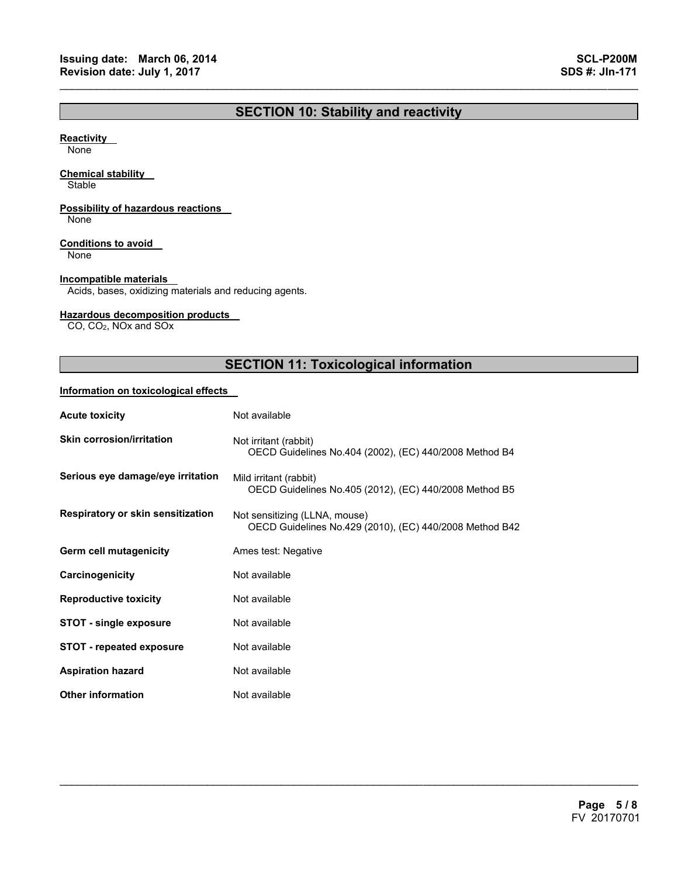## **SECTION 10: Stability and reactivity**

 $\mathcal{L}_\mathcal{L} = \{ \mathcal{L}_\mathcal{L} = \{ \mathcal{L}_\mathcal{L} = \{ \mathcal{L}_\mathcal{L} = \{ \mathcal{L}_\mathcal{L} = \{ \mathcal{L}_\mathcal{L} = \{ \mathcal{L}_\mathcal{L} = \{ \mathcal{L}_\mathcal{L} = \{ \mathcal{L}_\mathcal{L} = \{ \mathcal{L}_\mathcal{L} = \{ \mathcal{L}_\mathcal{L} = \{ \mathcal{L}_\mathcal{L} = \{ \mathcal{L}_\mathcal{L} = \{ \mathcal{L}_\mathcal{L} = \{ \mathcal{L}_\mathcal{$ 

#### **Reactivity**

None

#### **Chemical stability**

**Stable** 

### **Possibility of hazardous reactions**

None

#### **Conditions to avoid**

None

#### **Incompatible materials**

Acids, bases, oxidizing materials and reducing agents.

#### **Hazardous decomposition products**

CO, CO2, NOx and SOx

## **SECTION 11: Toxicological information**

 $\mathcal{L}_\mathcal{L} = \mathcal{L}_\mathcal{L} = \mathcal{L}_\mathcal{L} = \mathcal{L}_\mathcal{L} = \mathcal{L}_\mathcal{L} = \mathcal{L}_\mathcal{L} = \mathcal{L}_\mathcal{L} = \mathcal{L}_\mathcal{L} = \mathcal{L}_\mathcal{L} = \mathcal{L}_\mathcal{L} = \mathcal{L}_\mathcal{L} = \mathcal{L}_\mathcal{L} = \mathcal{L}_\mathcal{L} = \mathcal{L}_\mathcal{L} = \mathcal{L}_\mathcal{L} = \mathcal{L}_\mathcal{L} = \mathcal{L}_\mathcal{L}$ 

#### **Information on toxicological effects**

| <b>Acute toxicity</b>                    | Not available                                                                            |
|------------------------------------------|------------------------------------------------------------------------------------------|
| <b>Skin corrosion/irritation</b>         | Not irritant (rabbit)<br>OECD Guidelines No.404 (2002), (EC) 440/2008 Method B4          |
| Serious eye damage/eye irritation        | Mild irritant (rabbit)<br>OECD Guidelines No.405 (2012), (EC) 440/2008 Method B5         |
| <b>Respiratory or skin sensitization</b> | Not sensitizing (LLNA, mouse)<br>OECD Guidelines No.429 (2010), (EC) 440/2008 Method B42 |
| Germ cell mutagenicity                   | Ames test: Negative                                                                      |
| Carcinogenicity                          | Not available                                                                            |
| <b>Reproductive toxicity</b>             | Not available                                                                            |
| <b>STOT - single exposure</b>            | Not available                                                                            |
| <b>STOT - repeated exposure</b>          | Not available                                                                            |
| <b>Aspiration hazard</b>                 | Not available                                                                            |
| <b>Other information</b>                 | Not available                                                                            |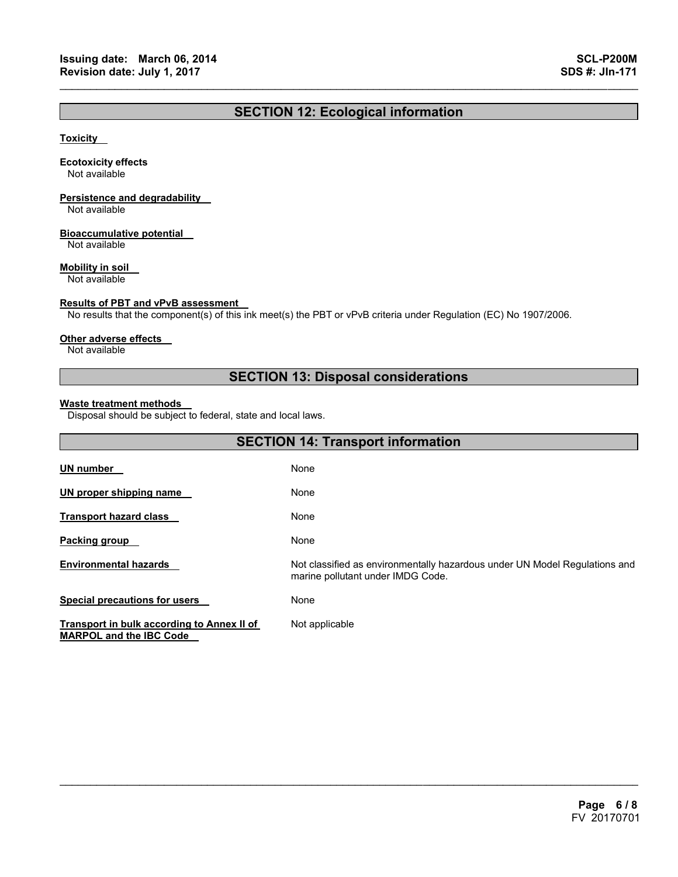## **SECTION 12: Ecological information**

 $\mathcal{L}_\mathcal{L} = \{ \mathcal{L}_\mathcal{L} = \{ \mathcal{L}_\mathcal{L} = \{ \mathcal{L}_\mathcal{L} = \{ \mathcal{L}_\mathcal{L} = \{ \mathcal{L}_\mathcal{L} = \{ \mathcal{L}_\mathcal{L} = \{ \mathcal{L}_\mathcal{L} = \{ \mathcal{L}_\mathcal{L} = \{ \mathcal{L}_\mathcal{L} = \{ \mathcal{L}_\mathcal{L} = \{ \mathcal{L}_\mathcal{L} = \{ \mathcal{L}_\mathcal{L} = \{ \mathcal{L}_\mathcal{L} = \{ \mathcal{L}_\mathcal{$ 

#### **Toxicity**

#### **Ecotoxicity effects**

Not available

## **Persistence and degradability**

Not available

#### **Bioaccumulative potential**

Not available

#### **Mobility in soil**

Not available

#### **Results of PBT and vPvB assessment**

No results that the component(s) of this ink meet(s) the PBT or vPvB criteria under Regulation (EC) No 1907/2006.

#### **Other adverse effects**

Not available

## **SECTION 13: Disposal considerations**

#### **Waste treatment methods**

Disposal should be subject to federal, state and local laws.

| <b>SECTION 14: Transport information</b>                                     |                                                                                                                 |  |
|------------------------------------------------------------------------------|-----------------------------------------------------------------------------------------------------------------|--|
| <b>UN number</b>                                                             | None                                                                                                            |  |
| UN proper shipping name                                                      | None                                                                                                            |  |
| <b>Transport hazard class</b>                                                | None                                                                                                            |  |
| Packing group                                                                | None                                                                                                            |  |
| <b>Environmental hazards</b>                                                 | Not classified as environmentally hazardous under UN Model Regulations and<br>marine pollutant under IMDG Code. |  |
| <b>Special precautions for users</b>                                         | None                                                                                                            |  |
| Transport in bulk according to Annex II of<br><b>MARPOL and the IBC Code</b> | Not applicable                                                                                                  |  |

 $\mathcal{L}_\mathcal{L} = \mathcal{L}_\mathcal{L} = \mathcal{L}_\mathcal{L} = \mathcal{L}_\mathcal{L} = \mathcal{L}_\mathcal{L} = \mathcal{L}_\mathcal{L} = \mathcal{L}_\mathcal{L} = \mathcal{L}_\mathcal{L} = \mathcal{L}_\mathcal{L} = \mathcal{L}_\mathcal{L} = \mathcal{L}_\mathcal{L} = \mathcal{L}_\mathcal{L} = \mathcal{L}_\mathcal{L} = \mathcal{L}_\mathcal{L} = \mathcal{L}_\mathcal{L} = \mathcal{L}_\mathcal{L} = \mathcal{L}_\mathcal{L}$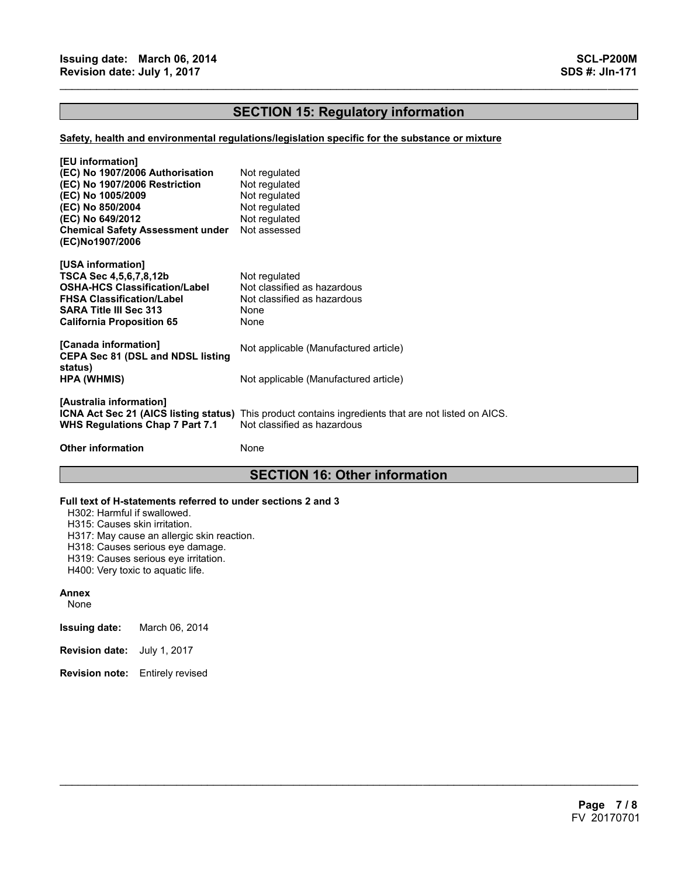## **SECTION 15: Regulatory information**

 $\mathcal{L}_\mathcal{L} = \{ \mathcal{L}_\mathcal{L} = \{ \mathcal{L}_\mathcal{L} = \{ \mathcal{L}_\mathcal{L} = \{ \mathcal{L}_\mathcal{L} = \{ \mathcal{L}_\mathcal{L} = \{ \mathcal{L}_\mathcal{L} = \{ \mathcal{L}_\mathcal{L} = \{ \mathcal{L}_\mathcal{L} = \{ \mathcal{L}_\mathcal{L} = \{ \mathcal{L}_\mathcal{L} = \{ \mathcal{L}_\mathcal{L} = \{ \mathcal{L}_\mathcal{L} = \{ \mathcal{L}_\mathcal{L} = \{ \mathcal{L}_\mathcal{$ 

#### **Safety, health and environmental regulations/legislation specific for the substance or mixture**

| [EU information]<br>(EC) No 1907/2006 Authorisation<br>(EC) No 1907/2006 Restriction<br>(EC) No 1005/2009<br>(EC) No 850/2004<br>(EC) No 649/2012<br><b>Chemical Safety Assessment under</b><br>(EC)No1907/2006 | Not regulated<br>Not regulated<br>Not regulated<br>Not regulated<br>Not regulated<br>Not assessed                                          |
|-----------------------------------------------------------------------------------------------------------------------------------------------------------------------------------------------------------------|--------------------------------------------------------------------------------------------------------------------------------------------|
| [USA information]<br>TSCA Sec 4,5,6,7,8,12b<br>OSHA-HCS Classification/Label<br><b>FHSA Classification/Label</b><br><b>SARA Title III Sec 313</b><br>California Proposition 65                                  | Not regulated<br>Not classified as hazardous<br>Not classified as hazardous<br>None<br>None                                                |
| [Canada information]<br><b>CEPA Sec 81 (DSL and NDSL listing</b>                                                                                                                                                | Not applicable (Manufactured article)                                                                                                      |
| status)<br>HPA (WHMIS)                                                                                                                                                                                          | Not applicable (Manufactured article)                                                                                                      |
| [Australia information]<br><b>WHS Regulations Chap 7 Part 7.1</b>                                                                                                                                               | <b>ICNA Act Sec 21 (AICS listing status)</b> This product contains ingredients that are not listed on AICS.<br>Not classified as hazardous |
| <b>Other information</b>                                                                                                                                                                                        | None                                                                                                                                       |

## **SECTION 16: Other information**

 $\mathcal{L}_\mathcal{L} = \mathcal{L}_\mathcal{L} = \mathcal{L}_\mathcal{L} = \mathcal{L}_\mathcal{L} = \mathcal{L}_\mathcal{L} = \mathcal{L}_\mathcal{L} = \mathcal{L}_\mathcal{L} = \mathcal{L}_\mathcal{L} = \mathcal{L}_\mathcal{L} = \mathcal{L}_\mathcal{L} = \mathcal{L}_\mathcal{L} = \mathcal{L}_\mathcal{L} = \mathcal{L}_\mathcal{L} = \mathcal{L}_\mathcal{L} = \mathcal{L}_\mathcal{L} = \mathcal{L}_\mathcal{L} = \mathcal{L}_\mathcal{L}$ 

#### **Full text of H-statements referred to under sections 2 and 3**

H302: Harmful if swallowed.

H315: Causes skin irritation.

H317: May cause an allergic skin reaction.

H318: Causes serious eye damage.

H319: Causes serious eye irritation.

H400: Very toxic to aquatic life.

#### **Annex**

None

**Issuing date:** March 06, 2014

- **Revision date:** July 1, 2017
- **Revision note:** Entirely revised